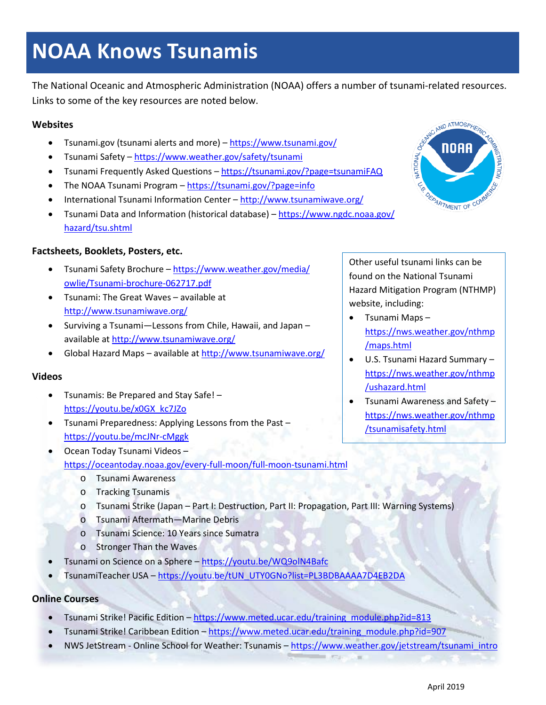# **NOAA Knows Tsunamis**

The National Oceanic and Atmospheric Administration (NOAA) offers a number of tsunami-related resources. Links to some of the key resources are noted below.

#### **Websites**

- Tsunami.gov (tsunami alerts and more) <https://www.tsunami.gov/>
- Tsunami Safety <https://www.weather.gov/safety/tsunami>
- Tsunami Frequently Asked Questions <https://tsunami.gov/?page=tsunamiFAQ>
- The NOAA Tsunami Program <https://tsunami.gov/?page=info>
- International Tsunami Information Center <http://www.tsunamiwave.org/>
- Tsunami Data and Information (historical database) [https://www.ngdc.noaa.gov/](https://www.ngdc.noaa.gov/hazard/tsu.shtml) [hazard/tsu.shtml](https://www.ngdc.noaa.gov/hazard/tsu.shtml)

# **Factsheets, Booklets, Posters, etc.**

- Tsunami Safety Brochure [https://www.weather.gov/media/](https://www.weather.gov/media/owlie/Tsunami-brochure-062717.pdf) [owlie/Tsunami-brochure-062717.pdf](https://www.weather.gov/media/owlie/Tsunami-brochure-062717.pdf)
- [Tsunami: The Great Waves](http://itic.ioc-unesco.org/index.php?option=com_content&view=article&id=1169&Itemid=1137&lang=en) available at <http://www.tsunamiwave.org/>
- [Surviving a Tsunami—Lessons from Chile, Hawaii, and Japan](http://itic.ioc-unesco.org/index.php?option=com_content&view=article&id=1333:surviving-a-tsunami-lessons-from-chile-hawaii-and-japan&catid=1075:awareness-a-education&Itemid=2313) available a[t http://www.tsunamiwave.org/](http://www.tsunamiwave.org/)
- Global Hazard Maps available at<http://www.tsunamiwave.org/>

# **Videos**

- Tsunamis: Be Prepared and Stay Safe! [https://youtu.be/x0GX\\_kc7JZo](https://youtu.be/x0GX_kc7JZo)
- [Tsunami Preparedness: Applying Lessons from the Past](https://www.youtube.com/watch?v=mcJNr-cMggk&feature=youtu.be) <https://youtu.be/mcJNr-cMggk>
- Ocean Today Tsunami Videos <https://oceantoday.noaa.gov/every-full-moon/full-moon-tsunami.html>
	- o Tsunami Awareness
	- o Tracking Tsunamis
	- o Tsunami Strike (Japan Part I: Destruction, Part II: Propagation, Part III: Warning Systems)
	- o Tsunami Aftermath—Marine Debris
	- o Tsunami Science: 10 Years since Sumatra
	- o Stronger Than the Waves
- Tsunami on Science on a Sphere <https://youtu.be/WQ9olN4Bafc>
- TsunamiTeacher USA [https://youtu.be/tUN\\_UTY0GNo?list=PL3BDBAAAA7D4EB2DA](https://youtu.be/tUN_UTY0GNo?list=PL3BDBAAAA7D4EB2DA)

**Online Courses**

- Tsunami Strike! Pacific Edition [https://www.meted.ucar.edu/training\\_module.php?id=813](https://www.meted.ucar.edu/training_module.php?id=813)
- Tsunami Strike! Caribbean Edition [https://www.meted.ucar.edu/training\\_module.php?id=907](https://www.meted.ucar.edu/training_module.php?id=907)
- NWS JetStream Online School for Weather: Tsunamis [https://www.weather.gov/jetstream/tsunami\\_intro](https://www.weather.gov/jetstream/tsunami_intro)



Other useful tsunami links can be found on the National Tsunami Hazard Mitigation Program (NTHMP) website, including:

- Tsunami Maps [https://nws.weather.gov/nthmp](https://nws.weather.gov/nthmp/maps.html) [/maps.html](https://nws.weather.gov/nthmp/maps.html)
- U.S. Tsunami Hazard Summary [https://nws.weather.gov/nthmp](https://nws.weather.gov/nthmp/ushazard.html) [/ushazard.html](https://nws.weather.gov/nthmp/ushazard.html)
- Tsunami Awareness and Safety [https://nws.weather.gov/nthmp](https://nws.weather.gov/nthmp/tsunamisafety.html) [/tsunamisafety.html](https://nws.weather.gov/nthmp/tsunamisafety.html)